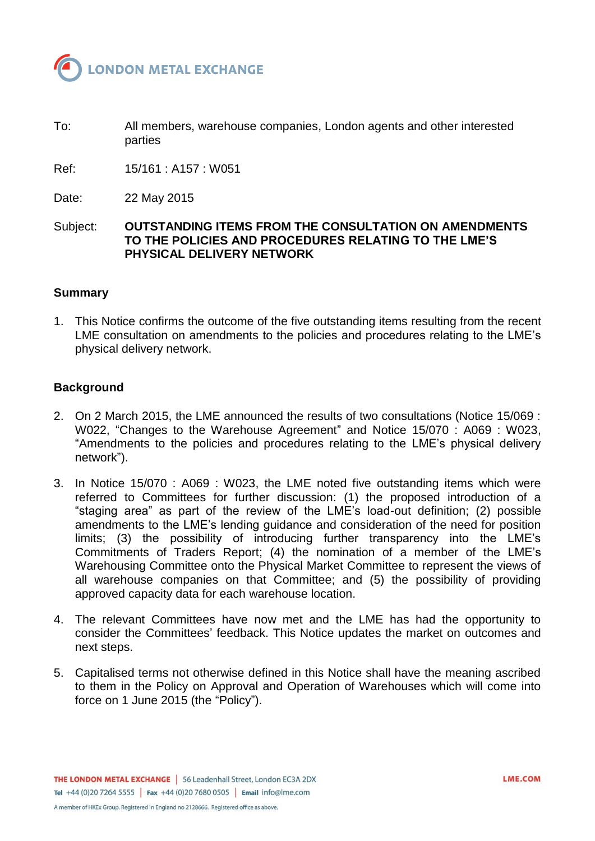

To: All members, warehouse companies, London agents and other interested parties

Ref: 15/161 : A157 : W051

Date: 22 May 2015

Subject: **OUTSTANDING ITEMS FROM THE CONSULTATION ON AMENDMENTS TO THE POLICIES AND PROCEDURES RELATING TO THE LME'S PHYSICAL DELIVERY NETWORK**

#### **Summary**

1. This Notice confirms the outcome of the five outstanding items resulting from the recent LME consultation on amendments to the policies and procedures relating to the LME's physical delivery network.

#### **Background**

- 2. On 2 March 2015, the LME announced the results of two consultations (Notice 15/069 : W022, "Changes to the Warehouse Agreement" and Notice 15/070 : A069 : W023, "Amendments to the policies and procedures relating to the LME's physical delivery network").
- 3. In Notice 15/070 : A069 : W023, the LME noted five outstanding items which were referred to Committees for further discussion: (1) the proposed introduction of a "staging area" as part of the review of the LME's load-out definition; (2) possible amendments to the LME's lending guidance and consideration of the need for position limits; (3) the possibility of introducing further transparency into the LME's Commitments of Traders Report; (4) the nomination of a member of the LME's Warehousing Committee onto the Physical Market Committee to represent the views of all warehouse companies on that Committee; and (5) the possibility of providing approved capacity data for each warehouse location.
- 4. The relevant Committees have now met and the LME has had the opportunity to consider the Committees' feedback. This Notice updates the market on outcomes and next steps.
- 5. Capitalised terms not otherwise defined in this Notice shall have the meaning ascribed to them in the Policy on Approval and Operation of Warehouses which will come into force on 1 June 2015 (the "Policy").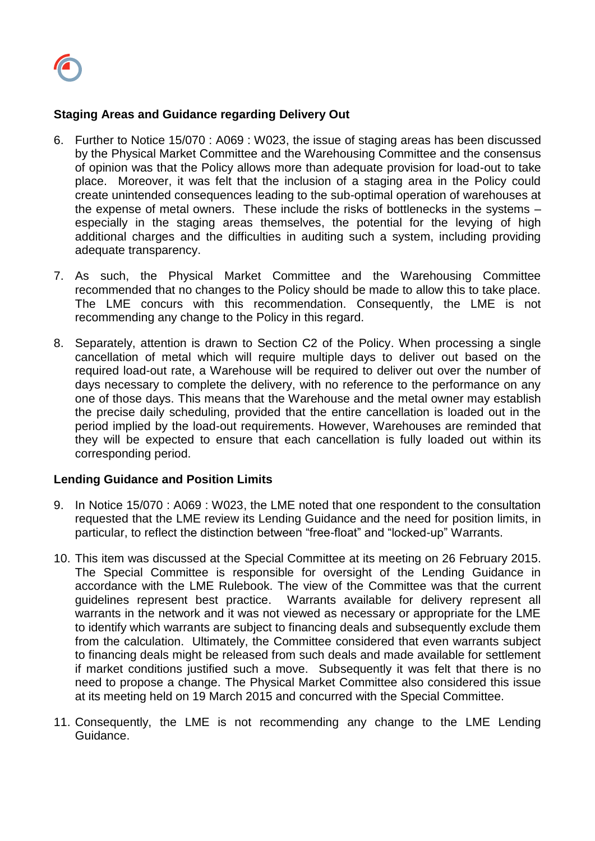

# **Staging Areas and Guidance regarding Delivery Out**

- 6. Further to Notice 15/070 : A069 : W023, the issue of staging areas has been discussed by the Physical Market Committee and the Warehousing Committee and the consensus of opinion was that the Policy allows more than adequate provision for load-out to take place. Moreover, it was felt that the inclusion of a staging area in the Policy could create unintended consequences leading to the sub-optimal operation of warehouses at the expense of metal owners. These include the risks of bottlenecks in the systems – especially in the staging areas themselves, the potential for the levying of high additional charges and the difficulties in auditing such a system, including providing adequate transparency.
- 7. As such, the Physical Market Committee and the Warehousing Committee recommended that no changes to the Policy should be made to allow this to take place. The LME concurs with this recommendation. Consequently, the LME is not recommending any change to the Policy in this regard.
- 8. Separately, attention is drawn to Section C2 of the Policy. When processing a single cancellation of metal which will require multiple days to deliver out based on the required load-out rate, a Warehouse will be required to deliver out over the number of days necessary to complete the delivery, with no reference to the performance on any one of those days. This means that the Warehouse and the metal owner may establish the precise daily scheduling, provided that the entire cancellation is loaded out in the period implied by the load-out requirements. However, Warehouses are reminded that they will be expected to ensure that each cancellation is fully loaded out within its corresponding period.

#### **Lending Guidance and Position Limits**

- 9. In Notice 15/070 : A069 : W023, the LME noted that one respondent to the consultation requested that the LME review its Lending Guidance and the need for position limits, in particular, to reflect the distinction between "free-float" and "locked-up" Warrants.
- 10. This item was discussed at the Special Committee at its meeting on 26 February 2015. The Special Committee is responsible for oversight of the Lending Guidance in accordance with the LME Rulebook. The view of the Committee was that the current guidelines represent best practice. Warrants available for delivery represent all warrants in the network and it was not viewed as necessary or appropriate for the LME to identify which warrants are subject to financing deals and subsequently exclude them from the calculation. Ultimately, the Committee considered that even warrants subject to financing deals might be released from such deals and made available for settlement if market conditions justified such a move. Subsequently it was felt that there is no need to propose a change. The Physical Market Committee also considered this issue at its meeting held on 19 March 2015 and concurred with the Special Committee.
- 11. Consequently, the LME is not recommending any change to the LME Lending Guidance.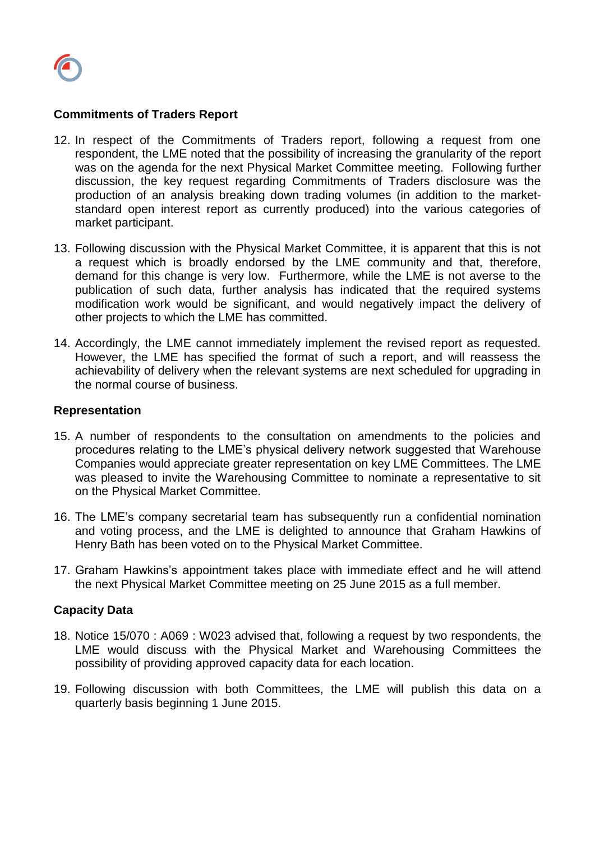

## **Commitments of Traders Report**

- 12. In respect of the Commitments of Traders report, following a request from one respondent, the LME noted that the possibility of increasing the granularity of the report was on the agenda for the next Physical Market Committee meeting. Following further discussion, the key request regarding Commitments of Traders disclosure was the production of an analysis breaking down trading volumes (in addition to the marketstandard open interest report as currently produced) into the various categories of market participant.
- 13. Following discussion with the Physical Market Committee, it is apparent that this is not a request which is broadly endorsed by the LME community and that, therefore, demand for this change is very low. Furthermore, while the LME is not averse to the publication of such data, further analysis has indicated that the required systems modification work would be significant, and would negatively impact the delivery of other projects to which the LME has committed.
- 14. Accordingly, the LME cannot immediately implement the revised report as requested. However, the LME has specified the format of such a report, and will reassess the achievability of delivery when the relevant systems are next scheduled for upgrading in the normal course of business.

## **Representation**

- 15. A number of respondents to the consultation on amendments to the policies and procedures relating to the LME's physical delivery network suggested that Warehouse Companies would appreciate greater representation on key LME Committees. The LME was pleased to invite the Warehousing Committee to nominate a representative to sit on the Physical Market Committee.
- 16. The LME's company secretarial team has subsequently run a confidential nomination and voting process, and the LME is delighted to announce that Graham Hawkins of Henry Bath has been voted on to the Physical Market Committee.
- 17. Graham Hawkins's appointment takes place with immediate effect and he will attend the next Physical Market Committee meeting on 25 June 2015 as a full member.

## **Capacity Data**

- 18. Notice 15/070 : A069 : W023 advised that, following a request by two respondents, the LME would discuss with the Physical Market and Warehousing Committees the possibility of providing approved capacity data for each location.
- 19. Following discussion with both Committees, the LME will publish this data on a quarterly basis beginning 1 June 2015.